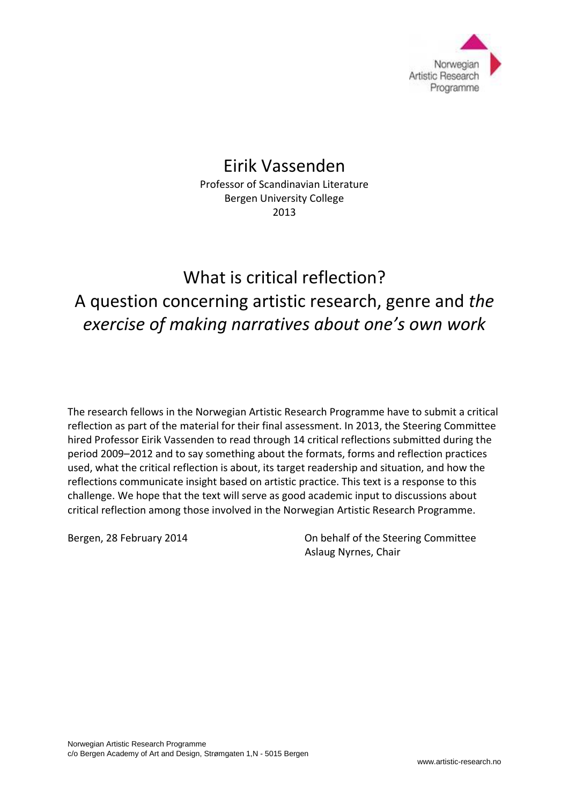

# Eirik Vassenden

Professor of Scandinavian Literature Bergen University College 2013

# What is critical reflection? A question concerning artistic research, genre and *the exercise of making narratives about one's own work*

The research fellows in the Norwegian Artistic Research Programme have to submit a critical reflection as part of the material for their final assessment. In 2013, the Steering Committee hired Professor Eirik Vassenden to read through 14 critical reflections submitted during the period 2009–2012 and to say something about the formats, forms and reflection practices used, what the critical reflection is about, its target readership and situation, and how the reflections communicate insight based on artistic practice. This text is a response to this challenge. We hope that the text will serve as good academic input to discussions about critical reflection among those involved in the Norwegian Artistic Research Programme.

Bergen, 28 February 2014 On behalf of the Steering Committee Aslaug Nyrnes, Chair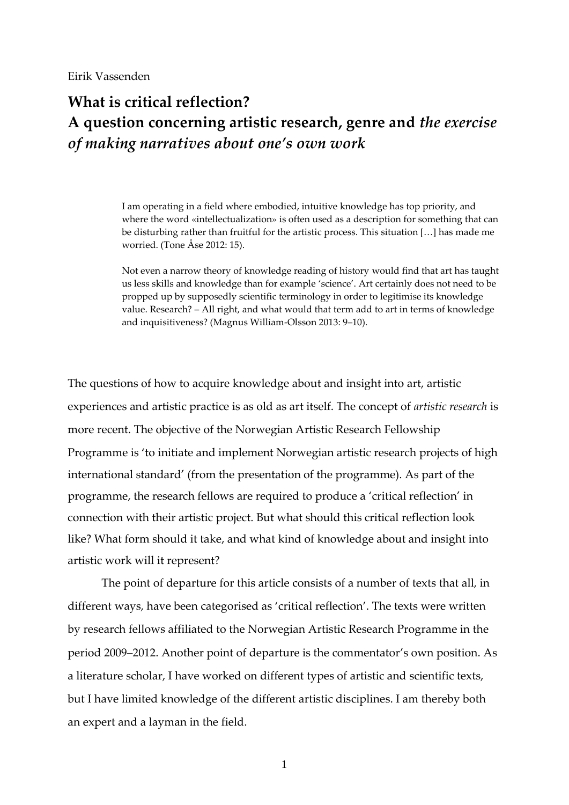# **What is critical reflection? A question concerning artistic research, genre and** *the exercise of making narratives about one's own work*

I am operating in a field where embodied, intuitive knowledge has top priority, and where the word «intellectualization» is often used as a description for something that can be disturbing rather than fruitful for the artistic process. This situation […] has made me worried. (Tone Åse 2012: 15).

Not even a narrow theory of knowledge reading of history would find that art has taught us less skills and knowledge than for example 'science'. Art certainly does not need to be propped up by supposedly scientific terminology in order to legitimise its knowledge value. Research? – All right, and what would that term add to art in terms of knowledge and inquisitiveness? (Magnus William-Olsson 2013: 9–10).

The questions of how to acquire knowledge about and insight into art, artistic experiences and artistic practice is as old as art itself. The concept of *artistic research* is more recent. The objective of the Norwegian Artistic Research Fellowship Programme is 'to initiate and implement Norwegian artistic research projects of high international standard' (from the presentation of the programme). As part of the programme, the research fellows are required to produce a 'critical reflection' in connection with their artistic project. But what should this critical reflection look like? What form should it take, and what kind of knowledge about and insight into artistic work will it represent?

The point of departure for this article consists of a number of texts that all, in different ways, have been categorised as 'critical reflection'. The texts were written by research fellows affiliated to the Norwegian Artistic Research Programme in the period 2009–2012. Another point of departure is the commentator's own position. As a literature scholar, I have worked on different types of artistic and scientific texts, but I have limited knowledge of the different artistic disciplines. I am thereby both an expert and a layman in the field.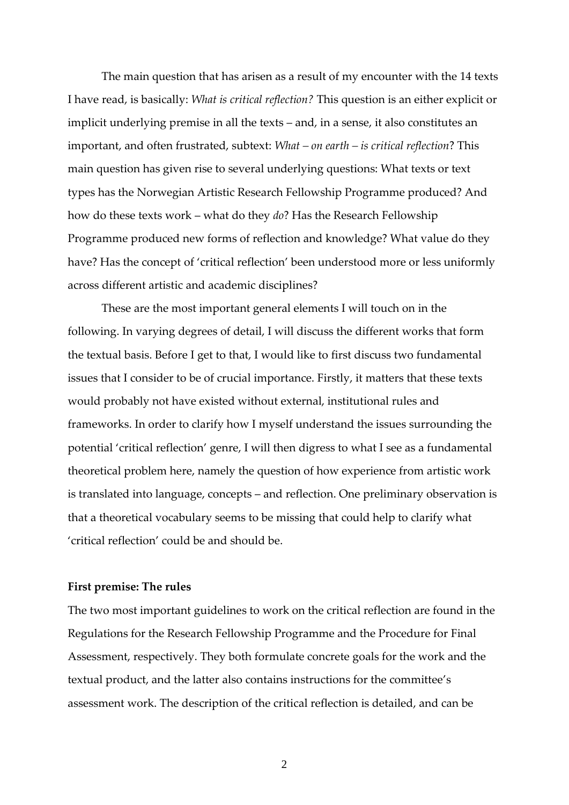The main question that has arisen as a result of my encounter with the 14 texts I have read, is basically: *What is critical reflection?* This question is an either explicit or implicit underlying premise in all the texts – and, in a sense, it also constitutes an important, and often frustrated, subtext: *What – on earth – is critical reflection*? This main question has given rise to several underlying questions: What texts or text types has the Norwegian Artistic Research Fellowship Programme produced? And how do these texts work – what do they *do*? Has the Research Fellowship Programme produced new forms of reflection and knowledge? What value do they have? Has the concept of 'critical reflection' been understood more or less uniformly across different artistic and academic disciplines?

These are the most important general elements I will touch on in the following. In varying degrees of detail, I will discuss the different works that form the textual basis. Before I get to that, I would like to first discuss two fundamental issues that I consider to be of crucial importance. Firstly, it matters that these texts would probably not have existed without external, institutional rules and frameworks. In order to clarify how I myself understand the issues surrounding the potential 'critical reflection' genre, I will then digress to what I see as a fundamental theoretical problem here, namely the question of how experience from artistic work is translated into language, concepts – and reflection. One preliminary observation is that a theoretical vocabulary seems to be missing that could help to clarify what 'critical reflection' could be and should be.

#### **First premise: The rules**

The two most important guidelines to work on the critical reflection are found in the Regulations for the Research Fellowship Programme and the Procedure for Final Assessment, respectively. They both formulate concrete goals for the work and the textual product, and the latter also contains instructions for the committee's assessment work. The description of the critical reflection is detailed, and can be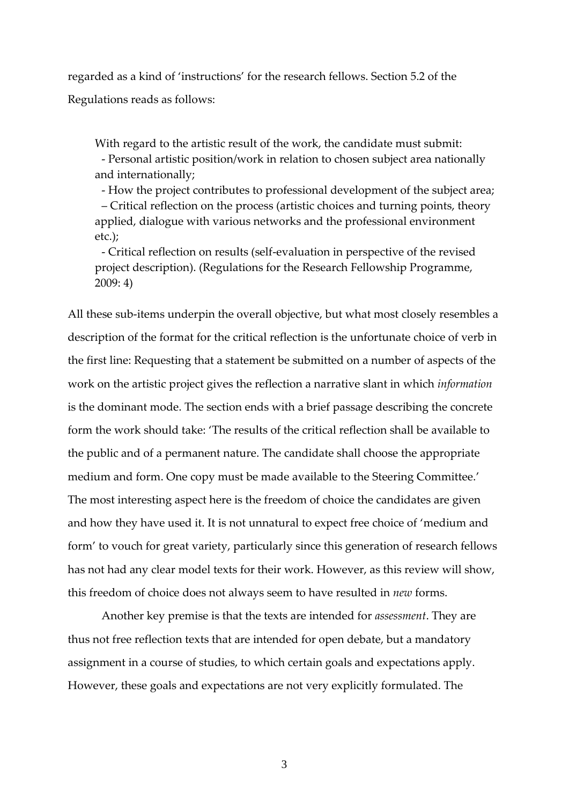regarded as a kind of 'instructions' for the research fellows. Section 5.2 of the Regulations reads as follows:

With regard to the artistic result of the work, the candidate must submit:

- Personal artistic position/work in relation to chosen subject area nationally and internationally;

- How the project contributes to professional development of the subject area; – Critical reflection on the process (artistic choices and turning points, theory applied, dialogue with various networks and the professional environment etc.);

- Critical reflection on results (self-evaluation in perspective of the revised project description). (Regulations for the Research Fellowship Programme, 2009: 4)

All these sub-items underpin the overall objective, but what most closely resembles a description of the format for the critical reflection is the unfortunate choice of verb in the first line: Requesting that a statement be submitted on a number of aspects of the work on the artistic project gives the reflection a narrative slant in which *information* is the dominant mode. The section ends with a brief passage describing the concrete form the work should take: 'The results of the critical reflection shall be available to the public and of a permanent nature. The candidate shall choose the appropriate medium and form. One copy must be made available to the Steering Committee.' The most interesting aspect here is the freedom of choice the candidates are given and how they have used it. It is not unnatural to expect free choice of 'medium and form' to vouch for great variety, particularly since this generation of research fellows has not had any clear model texts for their work. However, as this review will show, this freedom of choice does not always seem to have resulted in *new* forms.

Another key premise is that the texts are intended for *assessment*. They are thus not free reflection texts that are intended for open debate, but a mandatory assignment in a course of studies, to which certain goals and expectations apply. However, these goals and expectations are not very explicitly formulated. The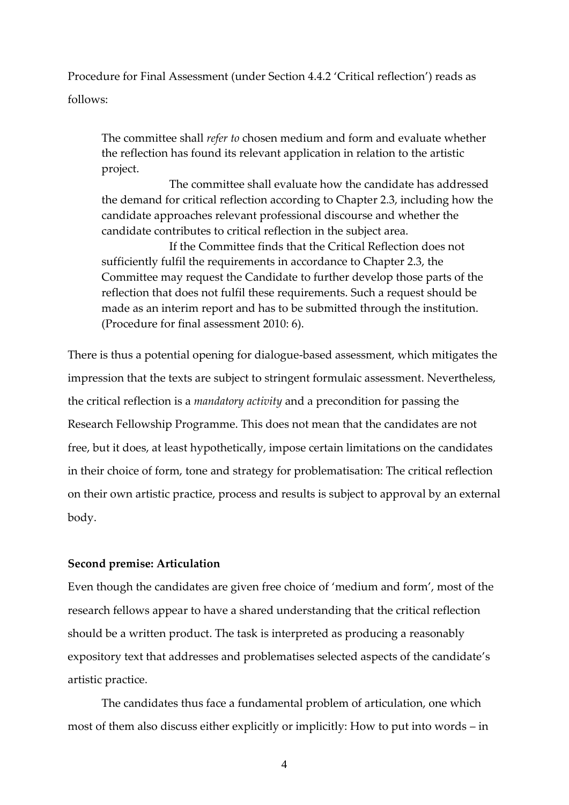Procedure for Final Assessment (under Section 4.4.2 'Critical reflection') reads as follows:

The committee shall *refer to* chosen medium and form and evaluate whether the reflection has found its relevant application in relation to the artistic project.

The committee shall evaluate how the candidate has addressed the demand for critical reflection according to Chapter 2.3, including how the candidate approaches relevant professional discourse and whether the candidate contributes to critical reflection in the subject area.

If the Committee finds that the Critical Reflection does not sufficiently fulfil the requirements in accordance to Chapter 2.3, the Committee may request the Candidate to further develop those parts of the reflection that does not fulfil these requirements. Such a request should be made as an interim report and has to be submitted through the institution. (Procedure for final assessment 2010: 6).

There is thus a potential opening for dialogue-based assessment, which mitigates the impression that the texts are subject to stringent formulaic assessment. Nevertheless, the critical reflection is a *mandatory activity* and a precondition for passing the Research Fellowship Programme. This does not mean that the candidates are not free, but it does, at least hypothetically, impose certain limitations on the candidates in their choice of form, tone and strategy for problematisation: The critical reflection on their own artistic practice, process and results is subject to approval by an external body.

## **Second premise: Articulation**

Even though the candidates are given free choice of 'medium and form', most of the research fellows appear to have a shared understanding that the critical reflection should be a written product. The task is interpreted as producing a reasonably expository text that addresses and problematises selected aspects of the candidate's artistic practice.

The candidates thus face a fundamental problem of articulation, one which most of them also discuss either explicitly or implicitly: How to put into words – in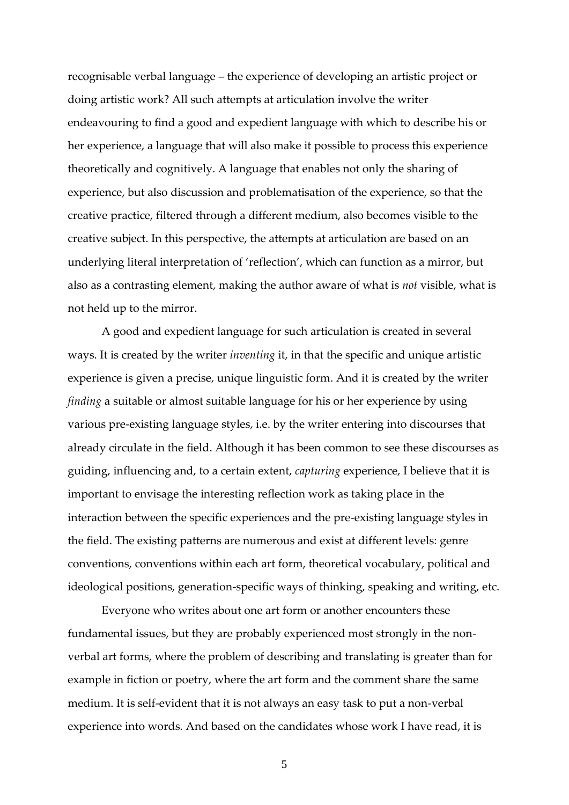recognisable verbal language – the experience of developing an artistic project or doing artistic work? All such attempts at articulation involve the writer endeavouring to find a good and expedient language with which to describe his or her experience, a language that will also make it possible to process this experience theoretically and cognitively. A language that enables not only the sharing of experience, but also discussion and problematisation of the experience, so that the creative practice, filtered through a different medium, also becomes visible to the creative subject. In this perspective, the attempts at articulation are based on an underlying literal interpretation of 'reflection', which can function as a mirror, but also as a contrasting element, making the author aware of what is *not* visible, what is not held up to the mirror.

A good and expedient language for such articulation is created in several ways. It is created by the writer *inventing* it, in that the specific and unique artistic experience is given a precise, unique linguistic form. And it is created by the writer *finding* a suitable or almost suitable language for his or her experience by using various pre-existing language styles, i.e. by the writer entering into discourses that already circulate in the field. Although it has been common to see these discourses as guiding, influencing and, to a certain extent, *capturing* experience, I believe that it is important to envisage the interesting reflection work as taking place in the interaction between the specific experiences and the pre-existing language styles in the field. The existing patterns are numerous and exist at different levels: genre conventions, conventions within each art form, theoretical vocabulary, political and ideological positions, generation-specific ways of thinking, speaking and writing, etc.

Everyone who writes about one art form or another encounters these fundamental issues, but they are probably experienced most strongly in the nonverbal art forms, where the problem of describing and translating is greater than for example in fiction or poetry, where the art form and the comment share the same medium. It is self-evident that it is not always an easy task to put a non-verbal experience into words. And based on the candidates whose work I have read, it is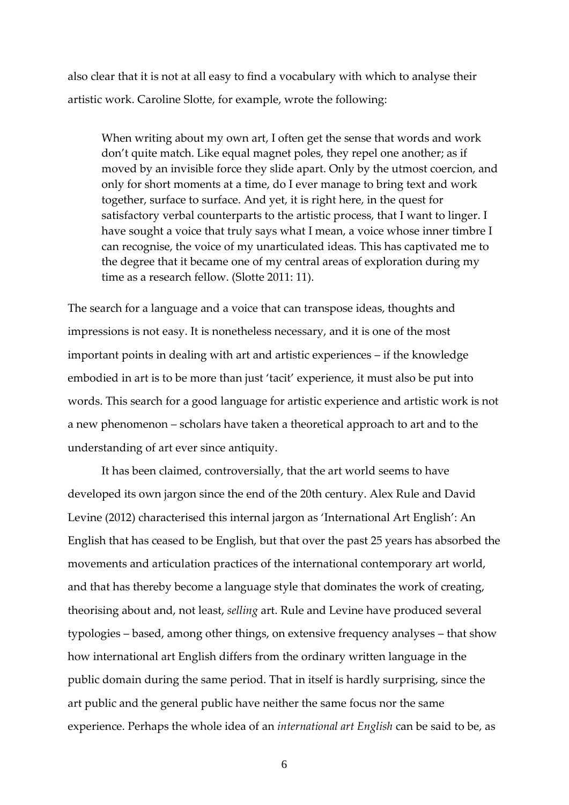also clear that it is not at all easy to find a vocabulary with which to analyse their artistic work. Caroline Slotte, for example, wrote the following:

When writing about my own art, I often get the sense that words and work don't quite match. Like equal magnet poles, they repel one another; as if moved by an invisible force they slide apart. Only by the utmost coercion, and only for short moments at a time, do I ever manage to bring text and work together, surface to surface. And yet, it is right here, in the quest for satisfactory verbal counterparts to the artistic process, that I want to linger. I have sought a voice that truly says what I mean, a voice whose inner timbre I can recognise, the voice of my unarticulated ideas. This has captivated me to the degree that it became one of my central areas of exploration during my time as a research fellow. (Slotte 2011: 11).

The search for a language and a voice that can transpose ideas, thoughts and impressions is not easy. It is nonetheless necessary, and it is one of the most important points in dealing with art and artistic experiences – if the knowledge embodied in art is to be more than just 'tacit' experience, it must also be put into words. This search for a good language for artistic experience and artistic work is not a new phenomenon – scholars have taken a theoretical approach to art and to the understanding of art ever since antiquity.

It has been claimed, controversially, that the art world seems to have developed its own jargon since the end of the 20th century. Alex Rule and David Levine (2012) characterised this internal jargon as 'International Art English': An English that has ceased to be English, but that over the past 25 years has absorbed the movements and articulation practices of the international contemporary art world, and that has thereby become a language style that dominates the work of creating, theorising about and, not least, *selling* art. Rule and Levine have produced several typologies – based, among other things, on extensive frequency analyses – that show how international art English differs from the ordinary written language in the public domain during the same period. That in itself is hardly surprising, since the art public and the general public have neither the same focus nor the same experience. Perhaps the whole idea of an *international art English* can be said to be, as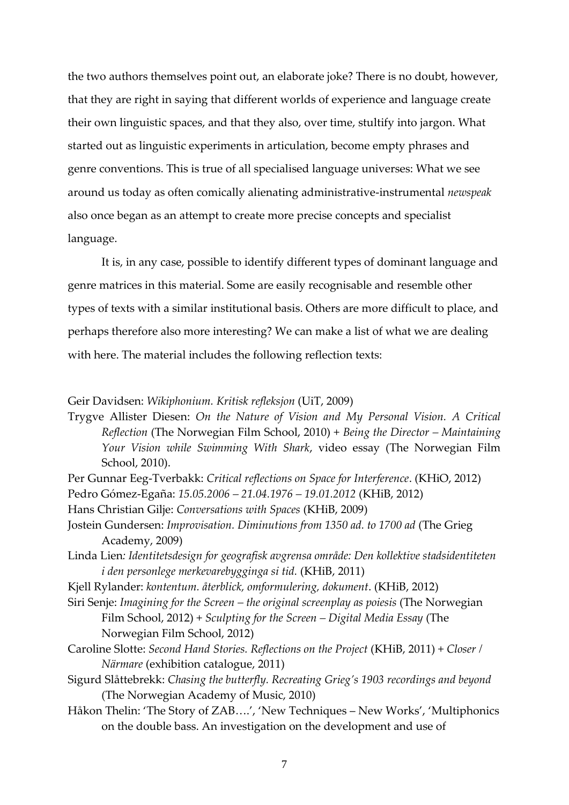the two authors themselves point out, an elaborate joke? There is no doubt, however, that they are right in saying that different worlds of experience and language create their own linguistic spaces, and that they also, over time, stultify into jargon. What started out as linguistic experiments in articulation, become empty phrases and genre conventions. This is true of all specialised language universes: What we see around us today as often comically alienating administrative-instrumental *newspeak* also once began as an attempt to create more precise concepts and specialist language.

It is, in any case, possible to identify different types of dominant language and genre matrices in this material. Some are easily recognisable and resemble other types of texts with a similar institutional basis. Others are more difficult to place, and perhaps therefore also more interesting? We can make a list of what we are dealing with here. The material includes the following reflection texts:

Geir Davidsen: *Wikiphonium. Kritisk refleksjon* (UiT, 2009)

- Trygve Allister Diesen: *On the Nature of Vision and My Personal Vision. A Critical Reflection* (The Norwegian Film School, 2010) + *Being the Director – Maintaining Your Vision while Swimming With Shark*, video essay (The Norwegian Film School, 2010).
- Per Gunnar Eeg-Tverbakk: *Critical reflections on Space for Interference*. (KHiO, 2012)
- Pedro Gómez-Egaña: *15.05.2006 – 21.04.1976 – 19.01.2012* (KHiB, 2012)

Hans Christian Gilje: *Conversations with Spaces* (KHiB, 2009)

- Jostein Gundersen: *Improvisation. Diminutions from 1350 ad. to 1700 ad* (The Grieg Academy, 2009)
- Linda Lien*: Identitetsdesign for geografisk avgrensa område: Den kollektive stadsidentiteten i den personlege merkevarebygginga si tid.* (KHiB, 2011)
- Kjell Rylander: *kontentum. återblick, omformulering, dokument*. (KHiB, 2012)
- Siri Senje: *Imagining for the Screen – the original screenplay as poiesis* (The Norwegian Film School, 2012) + *Sculpting for the Screen – Digital Media Essay* (The Norwegian Film School, 2012)
- Caroline Slotte: *Second Hand Stories. Reflections on the Project* (KHiB, 2011) + *Closer / Närmare* (exhibition catalogue, 2011)
- Sigurd Slåttebrekk: *Chasing the butterfly. Recreating Grieg's 1903 recordings and beyond* (The Norwegian Academy of Music, 2010)
- Håkon Thelin: 'The Story of ZAB….', 'New Techniques New Works', 'Multiphonics on the double bass. An investigation on the development and use of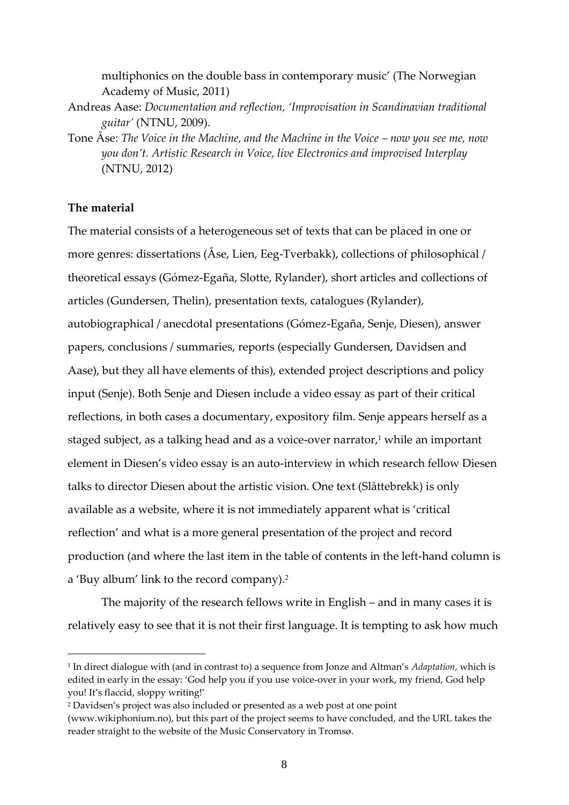multiphonics on the double bass in contemporary music' (The Norwegian Academy of Music, 2011)

- Andreas Aase: *Documentation and reflection, 'Improvisation in Scandinavian traditional guitar'* (NTNU, 2009).
- Tone Åse: *The Voice in the Machine, and the Machine in the Voice now you see me, now you don't. Artistic Research in Voice, live Electronics and improvised Interplay* (NTNU, 2012)

# **The material**

-

The material consists of a heterogeneous set of texts that can be placed in one or more genres: dissertations (Åse, Lien, Eeg-Tverbakk), collections of philosophical / theoretical essays (Gómez-Egaña, Slotte, Rylander), short articles and collections of articles (Gundersen, Thelin), presentation texts, catalogues (Rylander), autobiographical / anecdotal presentations (Gómez-Egaña, Senje, Diesen), answer papers, conclusions / summaries, reports (especially Gundersen, Davidsen and Aase), but they all have elements of this), extended project descriptions and policy input (Senje). Both Senje and Diesen include a video essay as part of their critical reflections, in both cases a documentary, expository film. Senje appears herself as a staged subject, as a talking head and as a voice-over narrator,<sup>1</sup> while an important element in Diesen's video essay is an auto-interview in which research fellow Diesen talks to director Diesen about the artistic vision. One text (Slåttebrekk) is only available as a website, where it is not immediately apparent what is 'critical reflection' and what is a more general presentation of the project and record production (and where the last item in the table of contents in the left-hand column is a 'Buy album' link to the record company).<sup>2</sup>

The majority of the research fellows write in English – and in many cases it is relatively easy to see that it is not their first language. It is tempting to ask how much

<sup>1</sup> In direct dialogue with (and in contrast to) a sequence from Jonze and Altman's *Adaptation*, which is edited in early in the essay: 'God help you if you use voice-over in your work, my friend, God help you! It's flaccid, sloppy writing!'

<sup>2</sup> Davidsen's project was also included or presented as a web post at one point

<sup>(</sup>www.wikiphonium.no), but this part of the project seems to have concluded, and the URL takes the reader straight to the website of the Music Conservatory in Tromsø.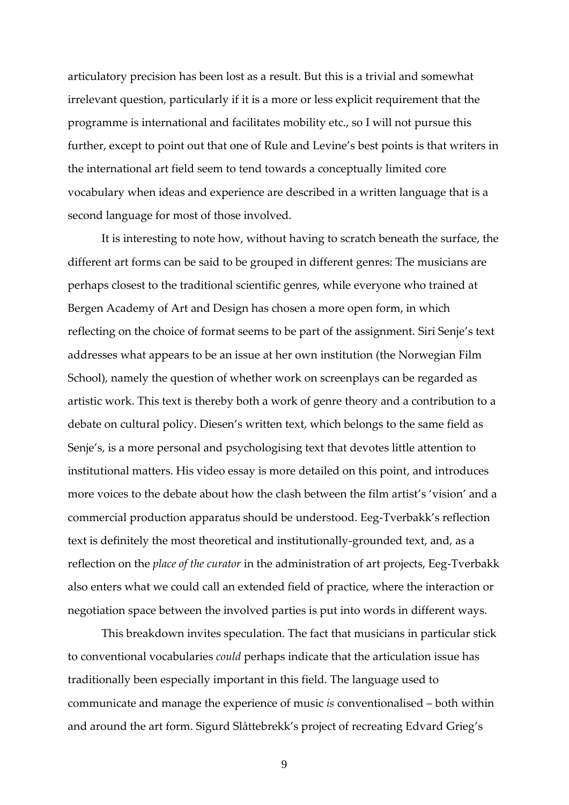articulatory precision has been lost as a result. But this is a trivial and somewhat irrelevant question, particularly if it is a more or less explicit requirement that the programme is international and facilitates mobility etc., so I will not pursue this further, except to point out that one of Rule and Levine's best points is that writers in the international art field seem to tend towards a conceptually limited core vocabulary when ideas and experience are described in a written language that is a second language for most of those involved.

It is interesting to note how, without having to scratch beneath the surface, the different art forms can be said to be grouped in different genres: The musicians are perhaps closest to the traditional scientific genres, while everyone who trained at Bergen Academy of Art and Design has chosen a more open form, in which reflecting on the choice of format seems to be part of the assignment. Siri Senje's text addresses what appears to be an issue at her own institution (the Norwegian Film School), namely the question of whether work on screenplays can be regarded as artistic work. This text is thereby both a work of genre theory and a contribution to a debate on cultural policy. Diesen's written text, which belongs to the same field as Senje's, is a more personal and psychologising text that devotes little attention to institutional matters. His video essay is more detailed on this point, and introduces more voices to the debate about how the clash between the film artist's 'vision' and a commercial production apparatus should be understood. Eeg-Tverbakk's reflection text is definitely the most theoretical and institutionally-grounded text, and, as a reflection on the *place of the curator* in the administration of art projects, Eeg-Tverbakk also enters what we could call an extended field of practice, where the interaction or negotiation space between the involved parties is put into words in different ways.

This breakdown invites speculation. The fact that musicians in particular stick to conventional vocabularies *could* perhaps indicate that the articulation issue has traditionally been especially important in this field. The language used to communicate and manage the experience of music *is* conventionalised – both within and around the art form. Sigurd Slåttebrekk's project of recreating Edvard Grieg's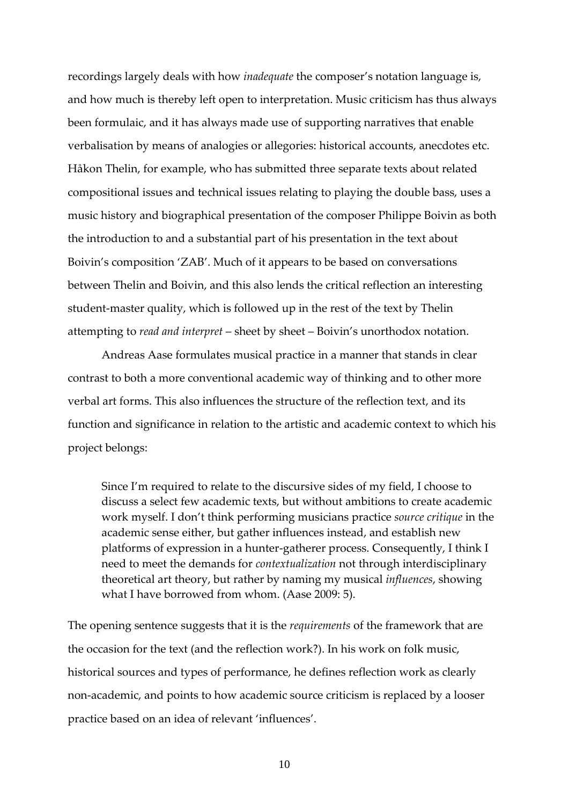recordings largely deals with how *inadequate* the composer's notation language is, and how much is thereby left open to interpretation. Music criticism has thus always been formulaic, and it has always made use of supporting narratives that enable verbalisation by means of analogies or allegories: historical accounts, anecdotes etc. Håkon Thelin, for example, who has submitted three separate texts about related compositional issues and technical issues relating to playing the double bass, uses a music history and biographical presentation of the composer Philippe Boivin as both the introduction to and a substantial part of his presentation in the text about Boivin's composition 'ZAB'. Much of it appears to be based on conversations between Thelin and Boivin, and this also lends the critical reflection an interesting student-master quality, which is followed up in the rest of the text by Thelin attempting to *read and interpret* – sheet by sheet – Boivin's unorthodox notation.

Andreas Aase formulates musical practice in a manner that stands in clear contrast to both a more conventional academic way of thinking and to other more verbal art forms. This also influences the structure of the reflection text, and its function and significance in relation to the artistic and academic context to which his project belongs:

Since I'm required to relate to the discursive sides of my field, I choose to discuss a select few academic texts, but without ambitions to create academic work myself. I don't think performing musicians practice *source critique* in the academic sense either, but gather influences instead, and establish new platforms of expression in a hunter-gatherer process. Consequently, I think I need to meet the demands for *contextualization* not through interdisciplinary theoretical art theory, but rather by naming my musical *influences*, showing what I have borrowed from whom. (Aase 2009: 5).

The opening sentence suggests that it is the *requirements* of the framework that are the occasion for the text (and the reflection work?). In his work on folk music, historical sources and types of performance, he defines reflection work as clearly non-academic, and points to how academic source criticism is replaced by a looser practice based on an idea of relevant 'influences'.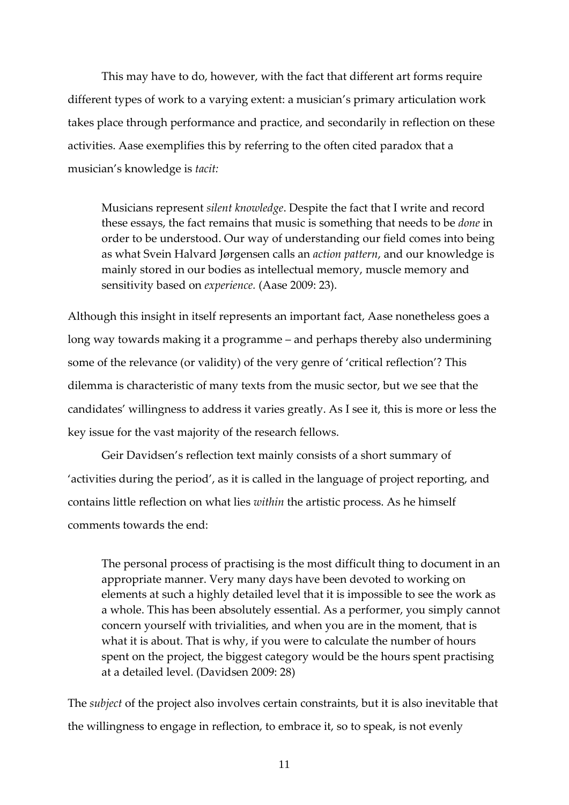This may have to do, however, with the fact that different art forms require different types of work to a varying extent: a musician's primary articulation work takes place through performance and practice, and secondarily in reflection on these activities. Aase exemplifies this by referring to the often cited paradox that a musician's knowledge is *tacit:*

Musicians represent *silent knowledge*. Despite the fact that I write and record these essays, the fact remains that music is something that needs to be *done* in order to be understood. Our way of understanding our field comes into being as what Svein Halvard Jørgensen calls an *action pattern*, and our knowledge is mainly stored in our bodies as intellectual memory, muscle memory and sensitivity based on *experience.* (Aase 2009: 23).

Although this insight in itself represents an important fact, Aase nonetheless goes a long way towards making it a programme – and perhaps thereby also undermining some of the relevance (or validity) of the very genre of 'critical reflection'? This dilemma is characteristic of many texts from the music sector, but we see that the candidates' willingness to address it varies greatly. As I see it, this is more or less the key issue for the vast majority of the research fellows.

Geir Davidsen's reflection text mainly consists of a short summary of 'activities during the period', as it is called in the language of project reporting, and contains little reflection on what lies *within* the artistic process. As he himself comments towards the end:

The personal process of practising is the most difficult thing to document in an appropriate manner. Very many days have been devoted to working on elements at such a highly detailed level that it is impossible to see the work as a whole. This has been absolutely essential. As a performer, you simply cannot concern yourself with trivialities, and when you are in the moment, that is what it is about. That is why, if you were to calculate the number of hours spent on the project, the biggest category would be the hours spent practising at a detailed level. (Davidsen 2009: 28)

The *subject* of the project also involves certain constraints, but it is also inevitable that the willingness to engage in reflection, to embrace it, so to speak, is not evenly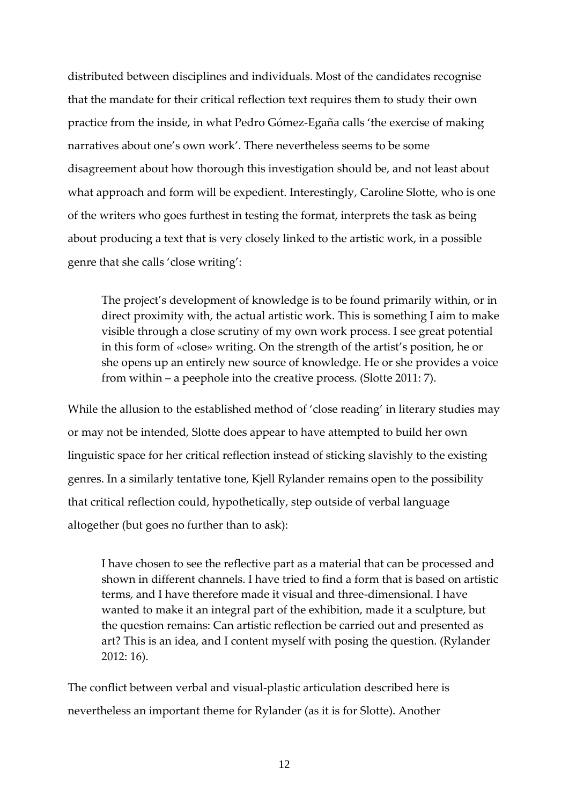distributed between disciplines and individuals. Most of the candidates recognise that the mandate for their critical reflection text requires them to study their own practice from the inside, in what Pedro Gómez-Egaña calls 'the exercise of making narratives about one's own work'. There nevertheless seems to be some disagreement about how thorough this investigation should be, and not least about what approach and form will be expedient. Interestingly, Caroline Slotte, who is one of the writers who goes furthest in testing the format, interprets the task as being about producing a text that is very closely linked to the artistic work, in a possible genre that she calls 'close writing':

The project's development of knowledge is to be found primarily within, or in direct proximity with, the actual artistic work. This is something I aim to make visible through a close scrutiny of my own work process. I see great potential in this form of «close» writing. On the strength of the artist's position, he or she opens up an entirely new source of knowledge. He or she provides a voice from within – a peephole into the creative process. (Slotte 2011: 7).

While the allusion to the established method of 'close reading' in literary studies may or may not be intended, Slotte does appear to have attempted to build her own linguistic space for her critical reflection instead of sticking slavishly to the existing genres. In a similarly tentative tone, Kjell Rylander remains open to the possibility that critical reflection could, hypothetically, step outside of verbal language altogether (but goes no further than to ask):

I have chosen to see the reflective part as a material that can be processed and shown in different channels. I have tried to find a form that is based on artistic terms, and I have therefore made it visual and three-dimensional. I have wanted to make it an integral part of the exhibition, made it a sculpture, but the question remains: Can artistic reflection be carried out and presented as art? This is an idea, and I content myself with posing the question. (Rylander 2012: 16).

The conflict between verbal and visual-plastic articulation described here is nevertheless an important theme for Rylander (as it is for Slotte). Another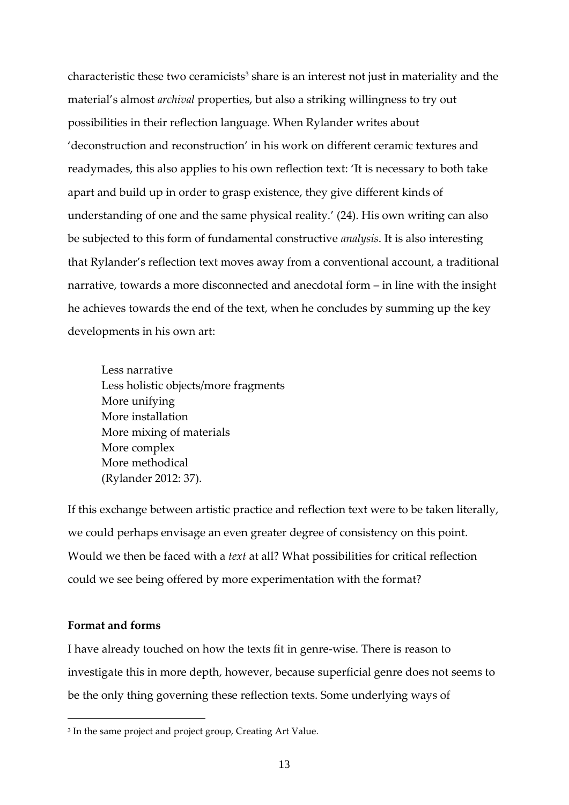characteristic these two ceramicists<sup>3</sup> share is an interest not just in materiality and the material's almost *archival* properties, but also a striking willingness to try out possibilities in their reflection language. When Rylander writes about 'deconstruction and reconstruction' in his work on different ceramic textures and readymades, this also applies to his own reflection text: 'It is necessary to both take apart and build up in order to grasp existence, they give different kinds of understanding of one and the same physical reality.' (24). His own writing can also be subjected to this form of fundamental constructive *analysis*. It is also interesting that Rylander's reflection text moves away from a conventional account, a traditional narrative, towards a more disconnected and anecdotal form – in line with the insight he achieves towards the end of the text, when he concludes by summing up the key developments in his own art:

Less narrative Less holistic objects/more fragments More unifying More installation More mixing of materials More complex More methodical (Rylander 2012: 37).

If this exchange between artistic practice and reflection text were to be taken literally, we could perhaps envisage an even greater degree of consistency on this point. Would we then be faced with a *text* at all? What possibilities for critical reflection could we see being offered by more experimentation with the format?

## **Format and forms**

-

I have already touched on how the texts fit in genre-wise. There is reason to investigate this in more depth, however, because superficial genre does not seems to be the only thing governing these reflection texts. Some underlying ways of

<sup>3</sup> In the same project and project group, Creating Art Value.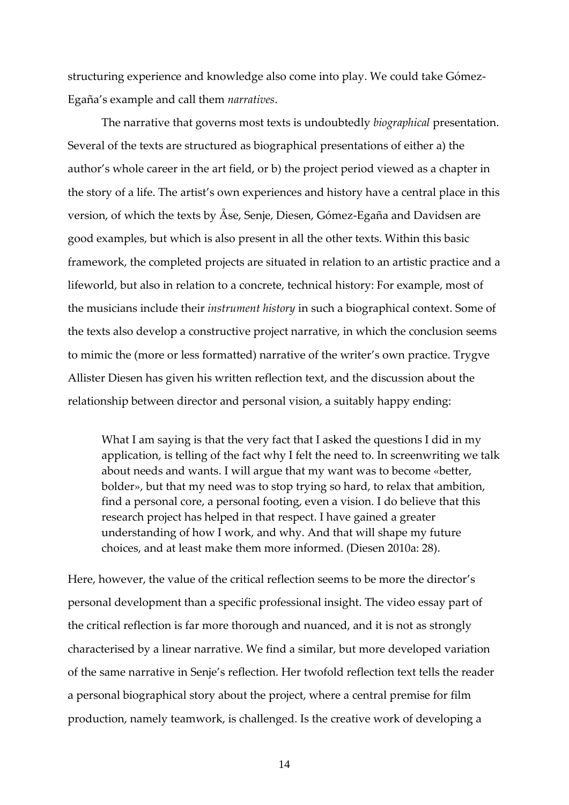structuring experience and knowledge also come into play. We could take Gómez-Egaña's example and call them *narratives*.

The narrative that governs most texts is undoubtedly *biographical* presentation. Several of the texts are structured as biographical presentations of either a) the author's whole career in the art field, or b) the project period viewed as a chapter in the story of a life. The artist's own experiences and history have a central place in this version, of which the texts by Åse, Senje, Diesen, Gómez-Egaña and Davidsen are good examples, but which is also present in all the other texts. Within this basic framework, the completed projects are situated in relation to an artistic practice and a lifeworld, but also in relation to a concrete, technical history: For example, most of the musicians include their *instrument history* in such a biographical context. Some of the texts also develop a constructive project narrative, in which the conclusion seems to mimic the (more or less formatted) narrative of the writer's own practice. Trygve Allister Diesen has given his written reflection text, and the discussion about the relationship between director and personal vision, a suitably happy ending:

What I am saying is that the very fact that I asked the questions I did in my application, is telling of the fact why I felt the need to. In screenwriting we talk about needs and wants. I will argue that my want was to become «better, bolder», but that my need was to stop trying so hard, to relax that ambition, find a personal core, a personal footing, even a vision. I do believe that this research project has helped in that respect. I have gained a greater understanding of how I work, and why. And that will shape my future choices, and at least make them more informed. (Diesen 2010a: 28).

Here, however, the value of the critical reflection seems to be more the director's personal development than a specific professional insight. The video essay part of the critical reflection is far more thorough and nuanced, and it is not as strongly characterised by a linear narrative. We find a similar, but more developed variation of the same narrative in Senje's reflection. Her twofold reflection text tells the reader a personal biographical story about the project, where a central premise for film production, namely teamwork, is challenged. Is the creative work of developing a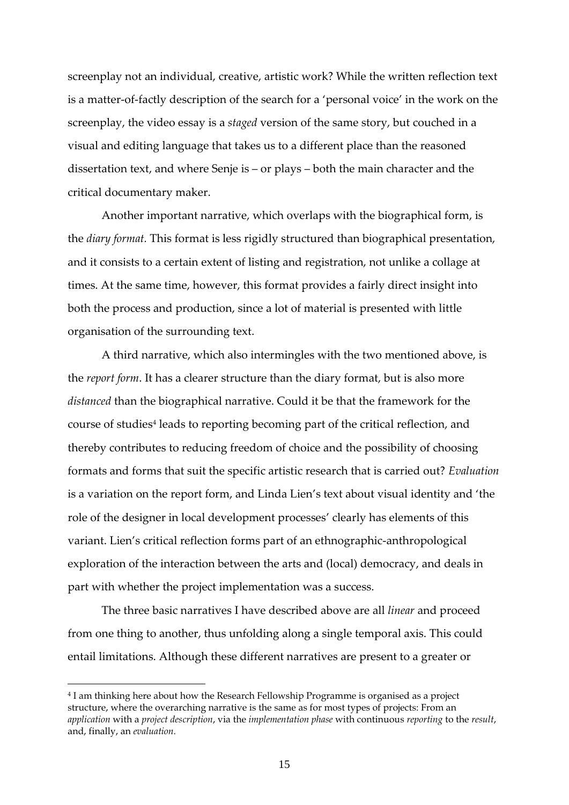screenplay not an individual, creative, artistic work? While the written reflection text is a matter-of-factly description of the search for a 'personal voice' in the work on the screenplay, the video essay is a *staged* version of the same story, but couched in a visual and editing language that takes us to a different place than the reasoned dissertation text, and where Senje is – or plays – both the main character and the critical documentary maker.

Another important narrative, which overlaps with the biographical form, is the *diary format.* This format is less rigidly structured than biographical presentation, and it consists to a certain extent of listing and registration, not unlike a collage at times. At the same time, however, this format provides a fairly direct insight into both the process and production, since a lot of material is presented with little organisation of the surrounding text.

A third narrative, which also intermingles with the two mentioned above, is the *report form*. It has a clearer structure than the diary format, but is also more *distanced* than the biographical narrative. Could it be that the framework for the course of studies<sup>4</sup> leads to reporting becoming part of the critical reflection, and thereby contributes to reducing freedom of choice and the possibility of choosing formats and forms that suit the specific artistic research that is carried out? *Evaluation* is a variation on the report form, and Linda Lien's text about visual identity and 'the role of the designer in local development processes' clearly has elements of this variant. Lien's critical reflection forms part of an ethnographic-anthropological exploration of the interaction between the arts and (local) democracy, and deals in part with whether the project implementation was a success.

The three basic narratives I have described above are all *linear* and proceed from one thing to another, thus unfolding along a single temporal axis. This could entail limitations. Although these different narratives are present to a greater or

-

<sup>4</sup> I am thinking here about how the Research Fellowship Programme is organised as a project structure, where the overarching narrative is the same as for most types of projects: From an *application* with a *project description*, via the *implementation phase* with continuous *reporting* to the *result*, and, finally, an *evaluation*.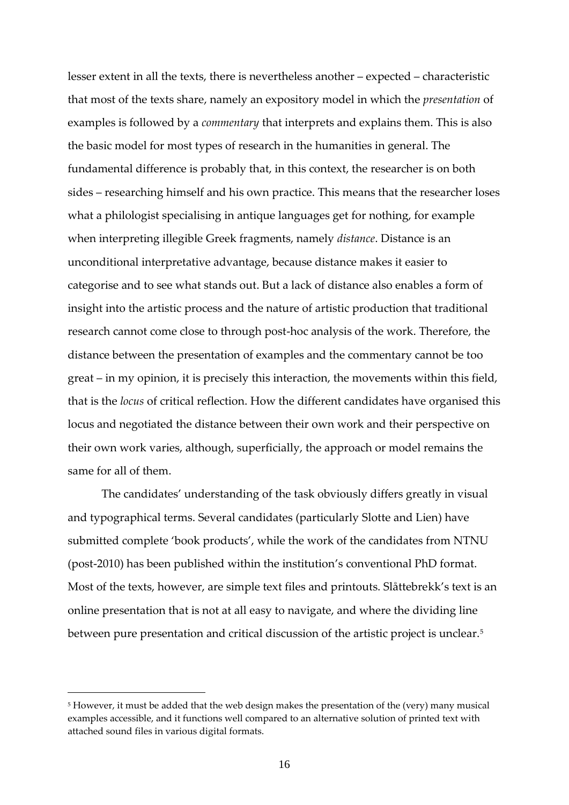lesser extent in all the texts, there is nevertheless another – expected – characteristic that most of the texts share, namely an expository model in which the *presentation* of examples is followed by a *commentary* that interprets and explains them. This is also the basic model for most types of research in the humanities in general. The fundamental difference is probably that, in this context, the researcher is on both sides – researching himself and his own practice. This means that the researcher loses what a philologist specialising in antique languages get for nothing, for example when interpreting illegible Greek fragments, namely *distance*. Distance is an unconditional interpretative advantage, because distance makes it easier to categorise and to see what stands out. But a lack of distance also enables a form of insight into the artistic process and the nature of artistic production that traditional research cannot come close to through post-hoc analysis of the work. Therefore, the distance between the presentation of examples and the commentary cannot be too great – in my opinion, it is precisely this interaction, the movements within this field, that is the *locus* of critical reflection. How the different candidates have organised this locus and negotiated the distance between their own work and their perspective on their own work varies, although, superficially, the approach or model remains the same for all of them.

The candidates' understanding of the task obviously differs greatly in visual and typographical terms. Several candidates (particularly Slotte and Lien) have submitted complete 'book products', while the work of the candidates from NTNU (post-2010) has been published within the institution's conventional PhD format. Most of the texts, however, are simple text files and printouts. Slåttebrekk's text is an online presentation that is not at all easy to navigate, and where the dividing line between pure presentation and critical discussion of the artistic project is unclear.<sup>5</sup>

-

<sup>5</sup> However, it must be added that the web design makes the presentation of the (very) many musical examples accessible, and it functions well compared to an alternative solution of printed text with attached sound files in various digital formats.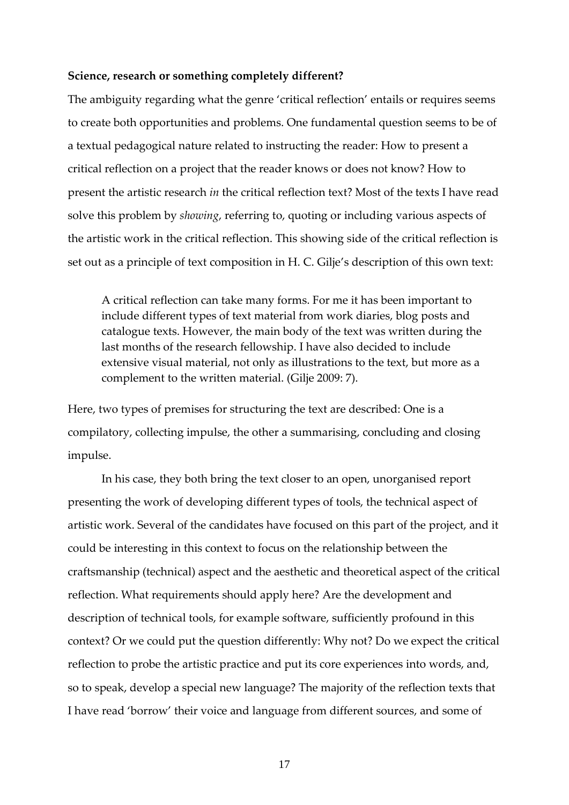#### **Science, research or something completely different?**

The ambiguity regarding what the genre 'critical reflection' entails or requires seems to create both opportunities and problems. One fundamental question seems to be of a textual pedagogical nature related to instructing the reader: How to present a critical reflection on a project that the reader knows or does not know? How to present the artistic research *in* the critical reflection text? Most of the texts I have read solve this problem by *showing*, referring to, quoting or including various aspects of the artistic work in the critical reflection. This showing side of the critical reflection is set out as a principle of text composition in H. C. Gilje's description of this own text:

A critical reflection can take many forms. For me it has been important to include different types of text material from work diaries, blog posts and catalogue texts. However, the main body of the text was written during the last months of the research fellowship. I have also decided to include extensive visual material, not only as illustrations to the text, but more as a complement to the written material. (Gilje 2009: 7).

Here, two types of premises for structuring the text are described: One is a compilatory, collecting impulse, the other a summarising, concluding and closing impulse.

In his case, they both bring the text closer to an open, unorganised report presenting the work of developing different types of tools, the technical aspect of artistic work. Several of the candidates have focused on this part of the project, and it could be interesting in this context to focus on the relationship between the craftsmanship (technical) aspect and the aesthetic and theoretical aspect of the critical reflection. What requirements should apply here? Are the development and description of technical tools, for example software, sufficiently profound in this context? Or we could put the question differently: Why not? Do we expect the critical reflection to probe the artistic practice and put its core experiences into words, and, so to speak, develop a special new language? The majority of the reflection texts that I have read 'borrow' their voice and language from different sources, and some of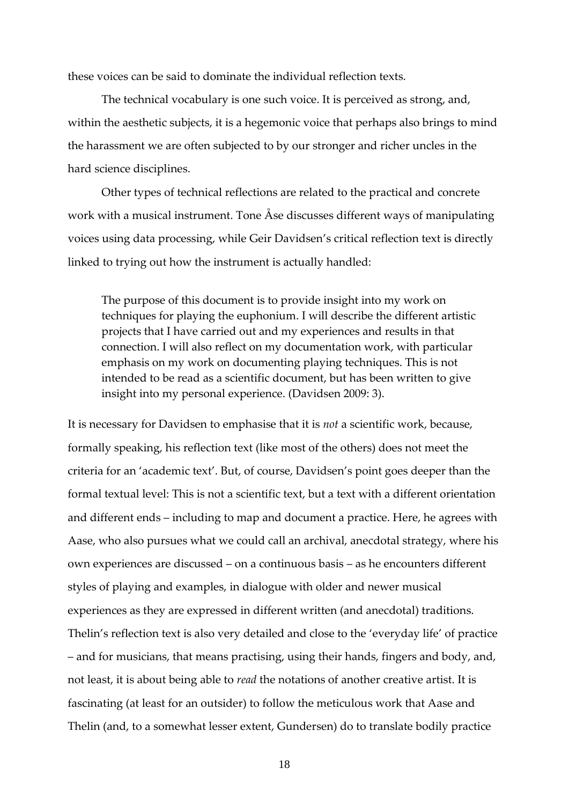these voices can be said to dominate the individual reflection texts.

The technical vocabulary is one such voice. It is perceived as strong, and, within the aesthetic subjects, it is a hegemonic voice that perhaps also brings to mind the harassment we are often subjected to by our stronger and richer uncles in the hard science disciplines.

Other types of technical reflections are related to the practical and concrete work with a musical instrument. Tone Åse discusses different ways of manipulating voices using data processing, while Geir Davidsen's critical reflection text is directly linked to trying out how the instrument is actually handled:

The purpose of this document is to provide insight into my work on techniques for playing the euphonium. I will describe the different artistic projects that I have carried out and my experiences and results in that connection. I will also reflect on my documentation work, with particular emphasis on my work on documenting playing techniques. This is not intended to be read as a scientific document, but has been written to give insight into my personal experience. (Davidsen 2009: 3).

It is necessary for Davidsen to emphasise that it is *not* a scientific work, because, formally speaking, his reflection text (like most of the others) does not meet the criteria for an 'academic text'. But, of course, Davidsen's point goes deeper than the formal textual level: This is not a scientific text, but a text with a different orientation and different ends – including to map and document a practice. Here, he agrees with Aase, who also pursues what we could call an archival, anecdotal strategy, where his own experiences are discussed – on a continuous basis – as he encounters different styles of playing and examples, in dialogue with older and newer musical experiences as they are expressed in different written (and anecdotal) traditions. Thelin's reflection text is also very detailed and close to the 'everyday life' of practice – and for musicians, that means practising, using their hands, fingers and body, and, not least, it is about being able to *read* the notations of another creative artist. It is fascinating (at least for an outsider) to follow the meticulous work that Aase and Thelin (and, to a somewhat lesser extent, Gundersen) do to translate bodily practice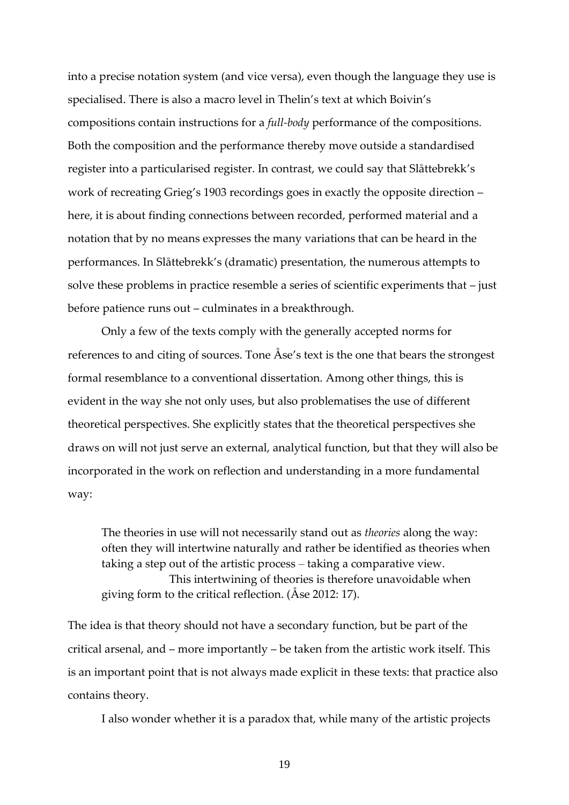into a precise notation system (and vice versa), even though the language they use is specialised. There is also a macro level in Thelin's text at which Boivin's compositions contain instructions for a *full-body* performance of the compositions. Both the composition and the performance thereby move outside a standardised register into a particularised register. In contrast, we could say that Slåttebrekk's work of recreating Grieg's 1903 recordings goes in exactly the opposite direction – here, it is about finding connections between recorded, performed material and a notation that by no means expresses the many variations that can be heard in the performances. In Slåttebrekk's (dramatic) presentation, the numerous attempts to solve these problems in practice resemble a series of scientific experiments that – just before patience runs out – culminates in a breakthrough.

Only a few of the texts comply with the generally accepted norms for references to and citing of sources. Tone Åse's text is the one that bears the strongest formal resemblance to a conventional dissertation. Among other things, this is evident in the way she not only uses, but also problematises the use of different theoretical perspectives. She explicitly states that the theoretical perspectives she draws on will not just serve an external, analytical function, but that they will also be incorporated in the work on reflection and understanding in a more fundamental way:

The theories in use will not necessarily stand out as *theories* along the way: often they will intertwine naturally and rather be identified as theories when taking a step out of the artistic process – taking a comparative view. This intertwining of theories is therefore unavoidable when giving form to the critical reflection. (Åse 2012: 17).

The idea is that theory should not have a secondary function, but be part of the critical arsenal, and – more importantly – be taken from the artistic work itself. This is an important point that is not always made explicit in these texts: that practice also contains theory.

I also wonder whether it is a paradox that, while many of the artistic projects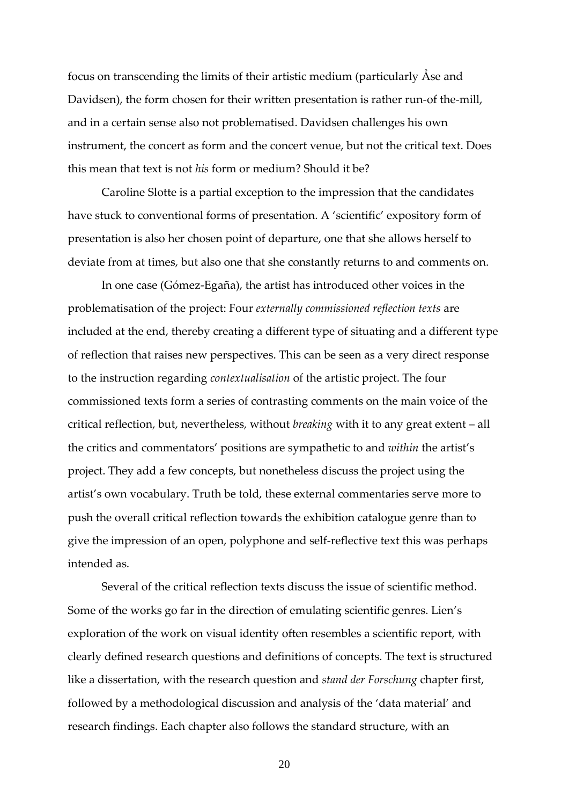focus on transcending the limits of their artistic medium (particularly Åse and Davidsen), the form chosen for their written presentation is rather run-of the-mill, and in a certain sense also not problematised. Davidsen challenges his own instrument, the concert as form and the concert venue, but not the critical text. Does this mean that text is not *his* form or medium? Should it be?

Caroline Slotte is a partial exception to the impression that the candidates have stuck to conventional forms of presentation. A 'scientific' expository form of presentation is also her chosen point of departure, one that she allows herself to deviate from at times, but also one that she constantly returns to and comments on.

In one case (Gómez-Egaña), the artist has introduced other voices in the problematisation of the project: Four *externally commissioned reflection texts* are included at the end, thereby creating a different type of situating and a different type of reflection that raises new perspectives. This can be seen as a very direct response to the instruction regarding *contextualisation* of the artistic project. The four commissioned texts form a series of contrasting comments on the main voice of the critical reflection, but, nevertheless, without *breaking* with it to any great extent – all the critics and commentators' positions are sympathetic to and *within* the artist's project. They add a few concepts, but nonetheless discuss the project using the artist's own vocabulary. Truth be told, these external commentaries serve more to push the overall critical reflection towards the exhibition catalogue genre than to give the impression of an open, polyphone and self-reflective text this was perhaps intended as.

Several of the critical reflection texts discuss the issue of scientific method. Some of the works go far in the direction of emulating scientific genres. Lien's exploration of the work on visual identity often resembles a scientific report, with clearly defined research questions and definitions of concepts. The text is structured like a dissertation, with the research question and *stand der Forschung* chapter first, followed by a methodological discussion and analysis of the 'data material' and research findings. Each chapter also follows the standard structure, with an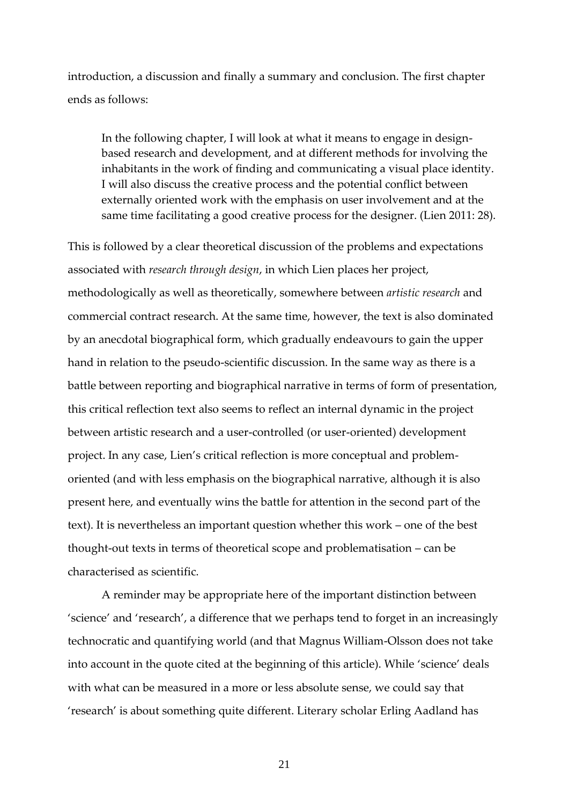introduction, a discussion and finally a summary and conclusion. The first chapter ends as follows:

In the following chapter, I will look at what it means to engage in designbased research and development, and at different methods for involving the inhabitants in the work of finding and communicating a visual place identity. I will also discuss the creative process and the potential conflict between externally oriented work with the emphasis on user involvement and at the same time facilitating a good creative process for the designer. (Lien 2011: 28).

This is followed by a clear theoretical discussion of the problems and expectations associated with *research through design*, in which Lien places her project, methodologically as well as theoretically, somewhere between *artistic research* and commercial contract research. At the same time, however, the text is also dominated by an anecdotal biographical form, which gradually endeavours to gain the upper hand in relation to the pseudo-scientific discussion. In the same way as there is a battle between reporting and biographical narrative in terms of form of presentation, this critical reflection text also seems to reflect an internal dynamic in the project between artistic research and a user-controlled (or user-oriented) development project. In any case, Lien's critical reflection is more conceptual and problemoriented (and with less emphasis on the biographical narrative, although it is also present here, and eventually wins the battle for attention in the second part of the text). It is nevertheless an important question whether this work – one of the best thought-out texts in terms of theoretical scope and problematisation – can be characterised as scientific.

A reminder may be appropriate here of the important distinction between 'science' and 'research', a difference that we perhaps tend to forget in an increasingly technocratic and quantifying world (and that Magnus William-Olsson does not take into account in the quote cited at the beginning of this article). While 'science' deals with what can be measured in a more or less absolute sense, we could say that 'research' is about something quite different. Literary scholar Erling Aadland has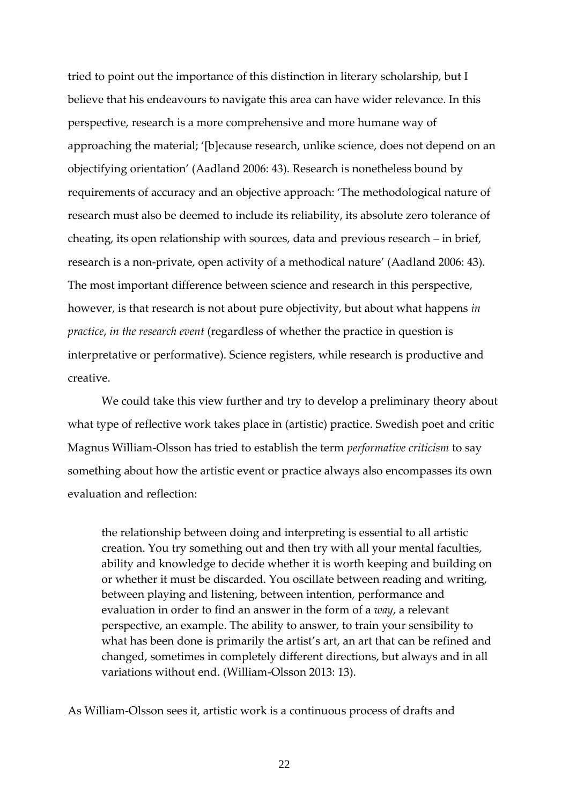tried to point out the importance of this distinction in literary scholarship, but I believe that his endeavours to navigate this area can have wider relevance. In this perspective, research is a more comprehensive and more humane way of approaching the material; '[b]ecause research, unlike science, does not depend on an objectifying orientation' (Aadland 2006: 43). Research is nonetheless bound by requirements of accuracy and an objective approach: 'The methodological nature of research must also be deemed to include its reliability, its absolute zero tolerance of cheating, its open relationship with sources, data and previous research – in brief, research is a non-private, open activity of a methodical nature' (Aadland 2006: 43). The most important difference between science and research in this perspective, however, is that research is not about pure objectivity, but about what happens *in practice*, *in the research event* (regardless of whether the practice in question is interpretative or performative). Science registers, while research is productive and creative.

We could take this view further and try to develop a preliminary theory about what type of reflective work takes place in (artistic) practice. Swedish poet and critic Magnus William-Olsson has tried to establish the term *performative criticism* to say something about how the artistic event or practice always also encompasses its own evaluation and reflection:

the relationship between doing and interpreting is essential to all artistic creation. You try something out and then try with all your mental faculties, ability and knowledge to decide whether it is worth keeping and building on or whether it must be discarded. You oscillate between reading and writing, between playing and listening, between intention, performance and evaluation in order to find an answer in the form of a *way*, a relevant perspective, an example. The ability to answer, to train your sensibility to what has been done is primarily the artist's art, an art that can be refined and changed, sometimes in completely different directions, but always and in all variations without end. (William-Olsson 2013: 13).

As William-Olsson sees it, artistic work is a continuous process of drafts and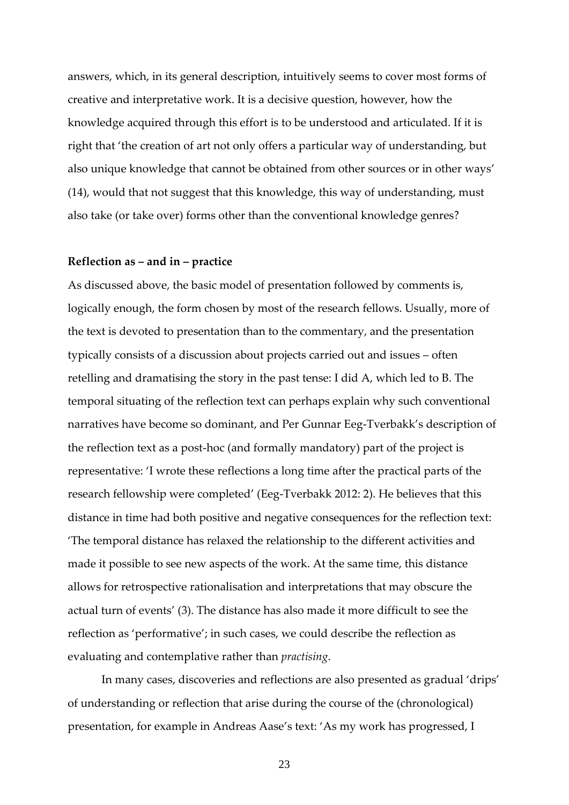answers, which, in its general description, intuitively seems to cover most forms of creative and interpretative work. It is a decisive question, however, how the knowledge acquired through this effort is to be understood and articulated. If it is right that 'the creation of art not only offers a particular way of understanding, but also unique knowledge that cannot be obtained from other sources or in other ways' (14), would that not suggest that this knowledge, this way of understanding, must also take (or take over) forms other than the conventional knowledge genres?

#### **Reflection as – and in – practice**

As discussed above, the basic model of presentation followed by comments is, logically enough, the form chosen by most of the research fellows. Usually, more of the text is devoted to presentation than to the commentary, and the presentation typically consists of a discussion about projects carried out and issues – often retelling and dramatising the story in the past tense: I did A, which led to B. The temporal situating of the reflection text can perhaps explain why such conventional narratives have become so dominant, and Per Gunnar Eeg-Tverbakk's description of the reflection text as a post-hoc (and formally mandatory) part of the project is representative: 'I wrote these reflections a long time after the practical parts of the research fellowship were completed' (Eeg-Tverbakk 2012: 2). He believes that this distance in time had both positive and negative consequences for the reflection text: 'The temporal distance has relaxed the relationship to the different activities and made it possible to see new aspects of the work. At the same time, this distance allows for retrospective rationalisation and interpretations that may obscure the actual turn of events' (3). The distance has also made it more difficult to see the reflection as 'performative'; in such cases, we could describe the reflection as evaluating and contemplative rather than *practising*.

In many cases, discoveries and reflections are also presented as gradual 'drips' of understanding or reflection that arise during the course of the (chronological) presentation, for example in Andreas Aase's text: 'As my work has progressed, I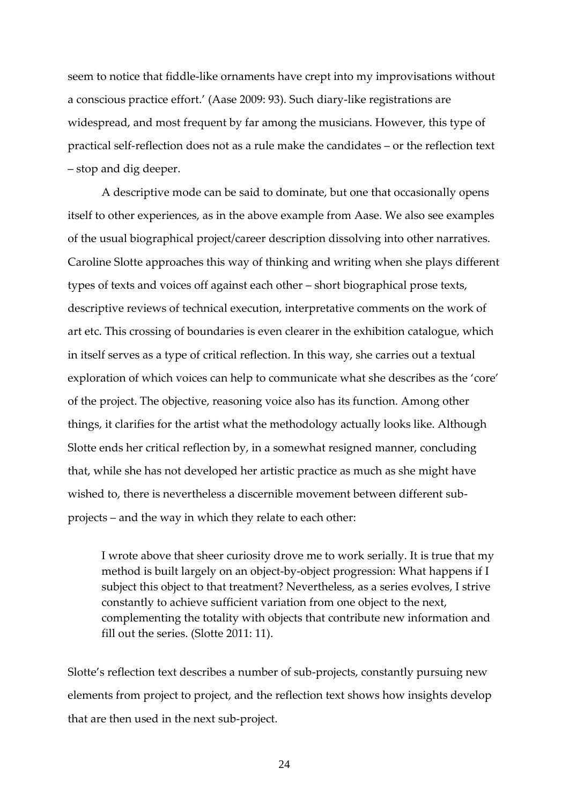seem to notice that fiddle-like ornaments have crept into my improvisations without a conscious practice effort.' (Aase 2009: 93). Such diary-like registrations are widespread, and most frequent by far among the musicians. However, this type of practical self-reflection does not as a rule make the candidates – or the reflection text – stop and dig deeper.

A descriptive mode can be said to dominate, but one that occasionally opens itself to other experiences, as in the above example from Aase. We also see examples of the usual biographical project/career description dissolving into other narratives. Caroline Slotte approaches this way of thinking and writing when she plays different types of texts and voices off against each other – short biographical prose texts, descriptive reviews of technical execution, interpretative comments on the work of art etc. This crossing of boundaries is even clearer in the exhibition catalogue, which in itself serves as a type of critical reflection. In this way, she carries out a textual exploration of which voices can help to communicate what she describes as the 'core' of the project. The objective, reasoning voice also has its function. Among other things, it clarifies for the artist what the methodology actually looks like. Although Slotte ends her critical reflection by, in a somewhat resigned manner, concluding that, while she has not developed her artistic practice as much as she might have wished to, there is nevertheless a discernible movement between different subprojects – and the way in which they relate to each other:

I wrote above that sheer curiosity drove me to work serially. It is true that my method is built largely on an object-by-object progression: What happens if I subject this object to that treatment? Nevertheless, as a series evolves, I strive constantly to achieve sufficient variation from one object to the next, complementing the totality with objects that contribute new information and fill out the series. (Slotte 2011: 11).

Slotte's reflection text describes a number of sub-projects, constantly pursuing new elements from project to project, and the reflection text shows how insights develop that are then used in the next sub-project.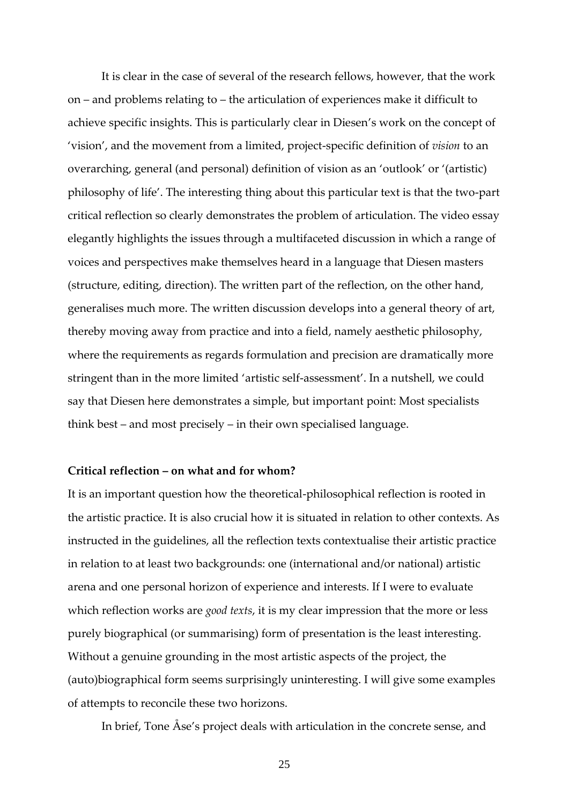It is clear in the case of several of the research fellows, however, that the work on – and problems relating to – the articulation of experiences make it difficult to achieve specific insights. This is particularly clear in Diesen's work on the concept of 'vision', and the movement from a limited, project-specific definition of *vision* to an overarching, general (and personal) definition of vision as an 'outlook' or '(artistic) philosophy of life'. The interesting thing about this particular text is that the two-part critical reflection so clearly demonstrates the problem of articulation. The video essay elegantly highlights the issues through a multifaceted discussion in which a range of voices and perspectives make themselves heard in a language that Diesen masters (structure, editing, direction). The written part of the reflection, on the other hand, generalises much more. The written discussion develops into a general theory of art, thereby moving away from practice and into a field, namely aesthetic philosophy, where the requirements as regards formulation and precision are dramatically more stringent than in the more limited 'artistic self-assessment'. In a nutshell, we could say that Diesen here demonstrates a simple, but important point: Most specialists think best – and most precisely – in their own specialised language.

#### **Critical reflection – on what and for whom?**

It is an important question how the theoretical-philosophical reflection is rooted in the artistic practice. It is also crucial how it is situated in relation to other contexts. As instructed in the guidelines, all the reflection texts contextualise their artistic practice in relation to at least two backgrounds: one (international and/or national) artistic arena and one personal horizon of experience and interests. If I were to evaluate which reflection works are *good texts*, it is my clear impression that the more or less purely biographical (or summarising) form of presentation is the least interesting. Without a genuine grounding in the most artistic aspects of the project, the (auto)biographical form seems surprisingly uninteresting. I will give some examples of attempts to reconcile these two horizons.

In brief, Tone Åse's project deals with articulation in the concrete sense, and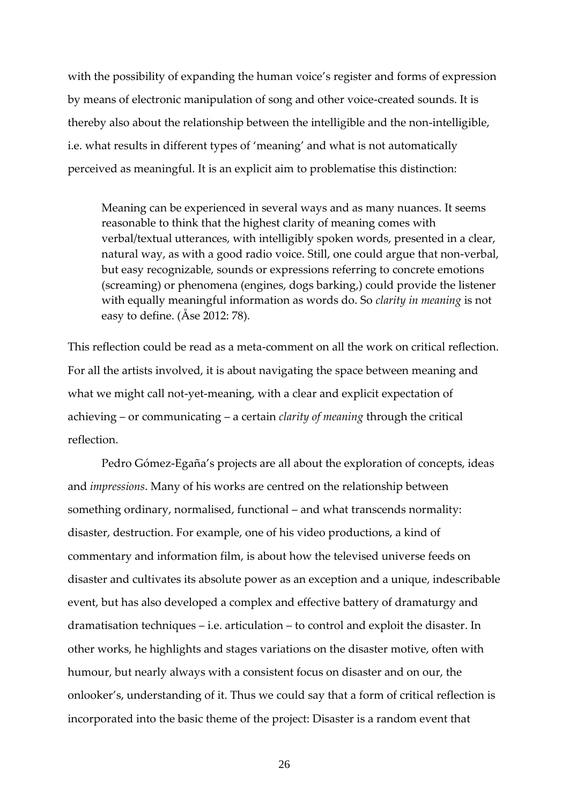with the possibility of expanding the human voice's register and forms of expression by means of electronic manipulation of song and other voice-created sounds. It is thereby also about the relationship between the intelligible and the non-intelligible, i.e. what results in different types of 'meaning' and what is not automatically perceived as meaningful. It is an explicit aim to problematise this distinction:

Meaning can be experienced in several ways and as many nuances. It seems reasonable to think that the highest clarity of meaning comes with verbal/textual utterances, with intelligibly spoken words, presented in a clear, natural way, as with a good radio voice. Still, one could argue that non-verbal, but easy recognizable, sounds or expressions referring to concrete emotions (screaming) or phenomena (engines, dogs barking,) could provide the listener with equally meaningful information as words do. So *clarity in meaning* is not easy to define. (Åse 2012: 78).

This reflection could be read as a meta-comment on all the work on critical reflection. For all the artists involved, it is about navigating the space between meaning and what we might call not-yet-meaning, with a clear and explicit expectation of achieving – or communicating – a certain *clarity of meaning* through the critical reflection.

Pedro Gómez-Egaña's projects are all about the exploration of concepts, ideas and *impressions*. Many of his works are centred on the relationship between something ordinary, normalised, functional – and what transcends normality: disaster, destruction. For example, one of his video productions, a kind of commentary and information film, is about how the televised universe feeds on disaster and cultivates its absolute power as an exception and a unique, indescribable event, but has also developed a complex and effective battery of dramaturgy and dramatisation techniques – i.e. articulation – to control and exploit the disaster. In other works, he highlights and stages variations on the disaster motive, often with humour, but nearly always with a consistent focus on disaster and on our, the onlooker's, understanding of it. Thus we could say that a form of critical reflection is incorporated into the basic theme of the project: Disaster is a random event that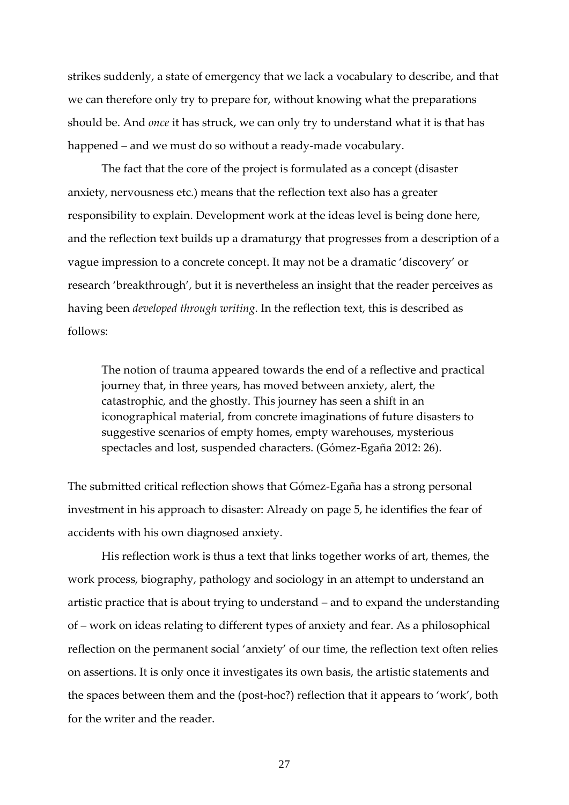strikes suddenly, a state of emergency that we lack a vocabulary to describe, and that we can therefore only try to prepare for, without knowing what the preparations should be. And *once* it has struck, we can only try to understand what it is that has happened – and we must do so without a ready-made vocabulary.

The fact that the core of the project is formulated as a concept (disaster anxiety, nervousness etc.) means that the reflection text also has a greater responsibility to explain. Development work at the ideas level is being done here, and the reflection text builds up a dramaturgy that progresses from a description of a vague impression to a concrete concept. It may not be a dramatic 'discovery' or research 'breakthrough', but it is nevertheless an insight that the reader perceives as having been *developed through writing*. In the reflection text, this is described as follows:

The notion of trauma appeared towards the end of a reflective and practical journey that, in three years, has moved between anxiety, alert, the catastrophic, and the ghostly. This journey has seen a shift in an iconographical material, from concrete imaginations of future disasters to suggestive scenarios of empty homes, empty warehouses, mysterious spectacles and lost, suspended characters. (Gómez-Egaña 2012: 26).

The submitted critical reflection shows that Gómez-Egaña has a strong personal investment in his approach to disaster: Already on page 5, he identifies the fear of accidents with his own diagnosed anxiety.

His reflection work is thus a text that links together works of art, themes, the work process, biography, pathology and sociology in an attempt to understand an artistic practice that is about trying to understand – and to expand the understanding of – work on ideas relating to different types of anxiety and fear. As a philosophical reflection on the permanent social 'anxiety' of our time, the reflection text often relies on assertions. It is only once it investigates its own basis, the artistic statements and the spaces between them and the (post-hoc?) reflection that it appears to 'work', both for the writer and the reader.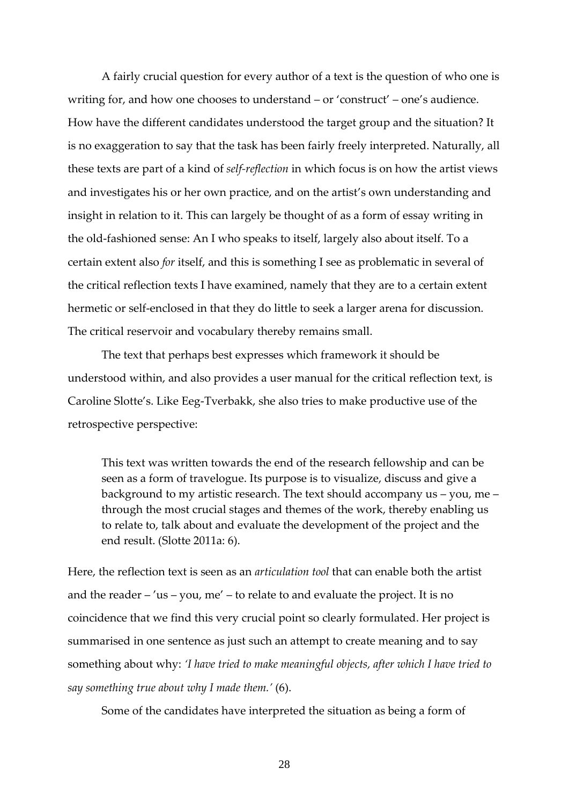A fairly crucial question for every author of a text is the question of who one is writing for, and how one chooses to understand – or 'construct' – one's audience. How have the different candidates understood the target group and the situation? It is no exaggeration to say that the task has been fairly freely interpreted. Naturally, all these texts are part of a kind of *self-reflection* in which focus is on how the artist views and investigates his or her own practice, and on the artist's own understanding and insight in relation to it. This can largely be thought of as a form of essay writing in the old-fashioned sense: An I who speaks to itself, largely also about itself. To a certain extent also *for* itself, and this is something I see as problematic in several of the critical reflection texts I have examined, namely that they are to a certain extent hermetic or self-enclosed in that they do little to seek a larger arena for discussion. The critical reservoir and vocabulary thereby remains small.

The text that perhaps best expresses which framework it should be understood within, and also provides a user manual for the critical reflection text, is Caroline Slotte's. Like Eeg-Tverbakk, she also tries to make productive use of the retrospective perspective:

This text was written towards the end of the research fellowship and can be seen as a form of travelogue. Its purpose is to visualize, discuss and give a background to my artistic research. The text should accompany us – you, me – through the most crucial stages and themes of the work, thereby enabling us to relate to, talk about and evaluate the development of the project and the end result. (Slotte 2011a: 6).

Here, the reflection text is seen as an *articulation tool* that can enable both the artist and the reader – 'us – you, me' – to relate to and evaluate the project. It is no coincidence that we find this very crucial point so clearly formulated. Her project is summarised in one sentence as just such an attempt to create meaning and to say something about why: *'I have tried to make meaningful objects, after which I have tried to say something true about why I made them.'* (6).

Some of the candidates have interpreted the situation as being a form of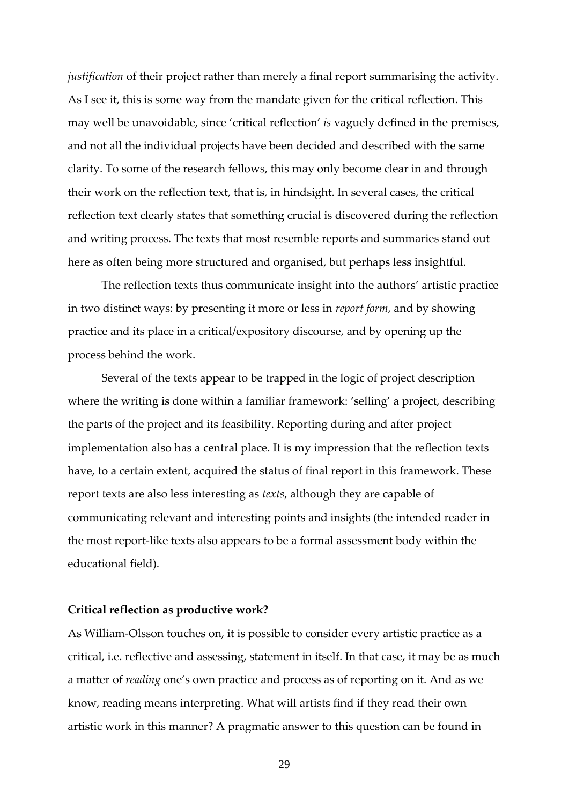*justification* of their project rather than merely a final report summarising the activity. As I see it, this is some way from the mandate given for the critical reflection. This may well be unavoidable, since 'critical reflection' *is* vaguely defined in the premises, and not all the individual projects have been decided and described with the same clarity. To some of the research fellows, this may only become clear in and through their work on the reflection text, that is, in hindsight. In several cases, the critical reflection text clearly states that something crucial is discovered during the reflection and writing process. The texts that most resemble reports and summaries stand out here as often being more structured and organised, but perhaps less insightful.

The reflection texts thus communicate insight into the authors' artistic practice in two distinct ways: by presenting it more or less in *report form*, and by showing practice and its place in a critical/expository discourse, and by opening up the process behind the work.

Several of the texts appear to be trapped in the logic of project description where the writing is done within a familiar framework: 'selling' a project, describing the parts of the project and its feasibility. Reporting during and after project implementation also has a central place. It is my impression that the reflection texts have, to a certain extent, acquired the status of final report in this framework. These report texts are also less interesting as *texts*, although they are capable of communicating relevant and interesting points and insights (the intended reader in the most report-like texts also appears to be a formal assessment body within the educational field).

#### **Critical reflection as productive work?**

As William-Olsson touches on, it is possible to consider every artistic practice as a critical, i.e. reflective and assessing, statement in itself. In that case, it may be as much a matter of *reading* one's own practice and process as of reporting on it. And as we know, reading means interpreting. What will artists find if they read their own artistic work in this manner? A pragmatic answer to this question can be found in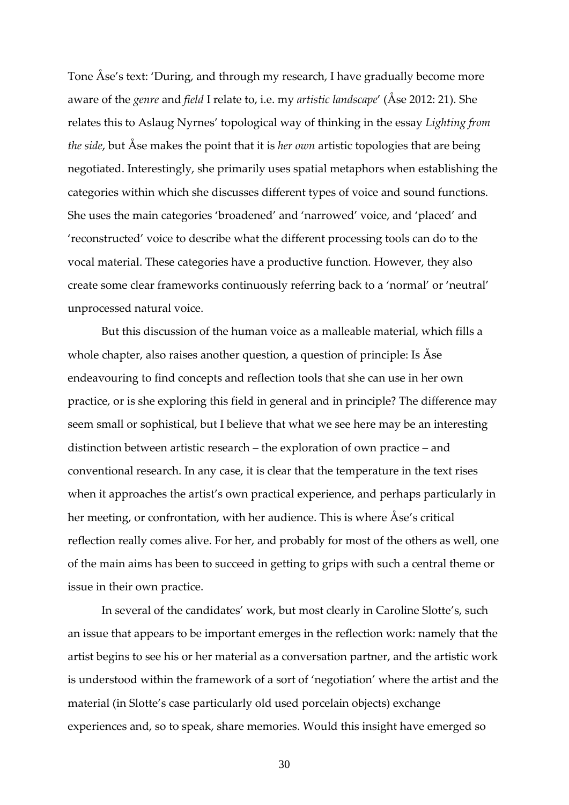Tone Åse's text: 'During, and through my research, I have gradually become more aware of the *genre* and *field* I relate to, i.e. my *artistic landscape*' (Åse 2012: 21). She relates this to Aslaug Nyrnes' topological way of thinking in the essay *Lighting from the side*, but Åse makes the point that it is *her own* artistic topologies that are being negotiated. Interestingly, she primarily uses spatial metaphors when establishing the categories within which she discusses different types of voice and sound functions. She uses the main categories 'broadened' and 'narrowed' voice, and 'placed' and 'reconstructed' voice to describe what the different processing tools can do to the vocal material. These categories have a productive function. However, they also create some clear frameworks continuously referring back to a 'normal' or 'neutral' unprocessed natural voice.

But this discussion of the human voice as a malleable material, which fills a whole chapter, also raises another question, a question of principle: Is Åse endeavouring to find concepts and reflection tools that she can use in her own practice, or is she exploring this field in general and in principle? The difference may seem small or sophistical, but I believe that what we see here may be an interesting distinction between artistic research – the exploration of own practice – and conventional research. In any case, it is clear that the temperature in the text rises when it approaches the artist's own practical experience, and perhaps particularly in her meeting, or confrontation, with her audience. This is where Åse's critical reflection really comes alive. For her, and probably for most of the others as well, one of the main aims has been to succeed in getting to grips with such a central theme or issue in their own practice.

In several of the candidates' work, but most clearly in Caroline Slotte's, such an issue that appears to be important emerges in the reflection work: namely that the artist begins to see his or her material as a conversation partner, and the artistic work is understood within the framework of a sort of 'negotiation' where the artist and the material (in Slotte's case particularly old used porcelain objects) exchange experiences and, so to speak, share memories. Would this insight have emerged so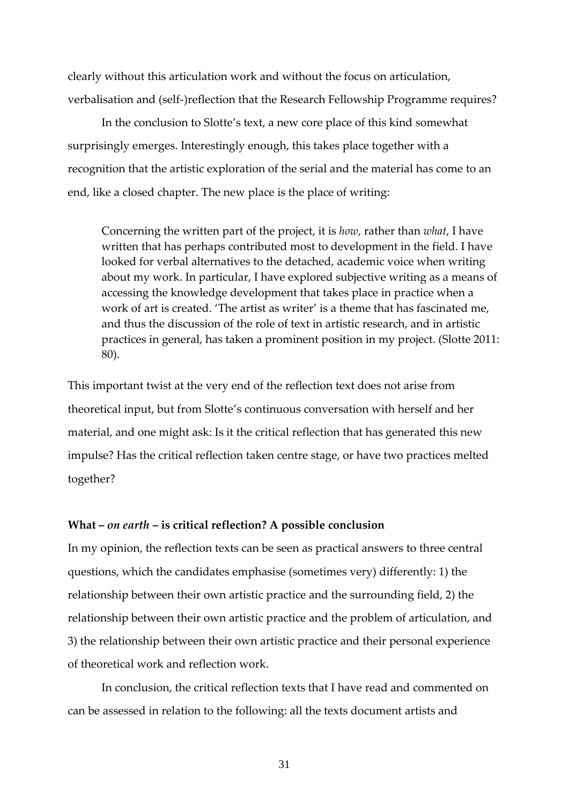clearly without this articulation work and without the focus on articulation, verbalisation and (self-)reflection that the Research Fellowship Programme requires?

In the conclusion to Slotte's text, a new core place of this kind somewhat surprisingly emerges. Interestingly enough, this takes place together with a recognition that the artistic exploration of the serial and the material has come to an end, like a closed chapter. The new place is the place of writing:

Concerning the written part of the project, it is *how*, rather than *what*, I have written that has perhaps contributed most to development in the field. I have looked for verbal alternatives to the detached, academic voice when writing about my work. In particular, I have explored subjective writing as a means of accessing the knowledge development that takes place in practice when a work of art is created. 'The artist as writer' is a theme that has fascinated me, and thus the discussion of the role of text in artistic research, and in artistic practices in general, has taken a prominent position in my project. (Slotte 2011: 80).

This important twist at the very end of the reflection text does not arise from theoretical input, but from Slotte's continuous conversation with herself and her material, and one might ask: Is it the critical reflection that has generated this new impulse? Has the critical reflection taken centre stage, or have two practices melted together?

# **What –** *on earth* **– is critical reflection? A possible conclusion**

In my opinion, the reflection texts can be seen as practical answers to three central questions, which the candidates emphasise (sometimes very) differently: 1) the relationship between their own artistic practice and the surrounding field, 2) the relationship between their own artistic practice and the problem of articulation, and 3) the relationship between their own artistic practice and their personal experience of theoretical work and reflection work.

In conclusion, the critical reflection texts that I have read and commented on can be assessed in relation to the following: all the texts document artists and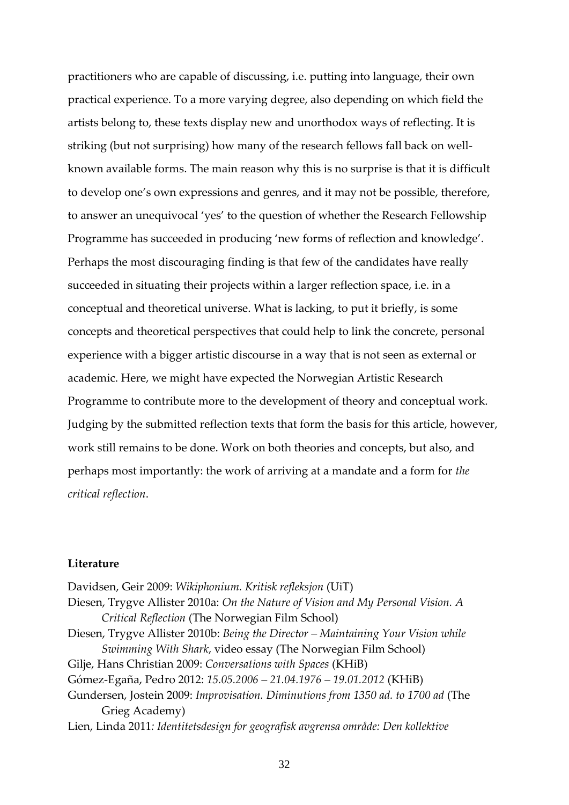practitioners who are capable of discussing, i.e. putting into language, their own practical experience. To a more varying degree, also depending on which field the artists belong to, these texts display new and unorthodox ways of reflecting. It is striking (but not surprising) how many of the research fellows fall back on wellknown available forms. The main reason why this is no surprise is that it is difficult to develop one's own expressions and genres, and it may not be possible, therefore, to answer an unequivocal 'yes' to the question of whether the Research Fellowship Programme has succeeded in producing 'new forms of reflection and knowledge'. Perhaps the most discouraging finding is that few of the candidates have really succeeded in situating their projects within a larger reflection space, i.e. in a conceptual and theoretical universe. What is lacking, to put it briefly, is some concepts and theoretical perspectives that could help to link the concrete, personal experience with a bigger artistic discourse in a way that is not seen as external or academic. Here, we might have expected the Norwegian Artistic Research Programme to contribute more to the development of theory and conceptual work. Judging by the submitted reflection texts that form the basis for this article, however, work still remains to be done. Work on both theories and concepts, but also, and perhaps most importantly: the work of arriving at a mandate and a form for *the critical reflection*.

## **Literature**

Davidsen, Geir 2009: *Wikiphonium. Kritisk refleksjon* (UiT) Diesen, Trygve Allister 2010a: *On the Nature of Vision and My Personal Vision. A Critical Reflection* (The Norwegian Film School) Diesen, Trygve Allister 2010b: *Being the Director – Maintaining Your Vision while Swimming With Shark*, video essay (The Norwegian Film School) Gilje, Hans Christian 2009: *Conversations with Spaces* (KHiB) Gómez-Egaña, Pedro 2012: *15.05.2006 – 21.04.1976 – 19.01.2012* (KHiB) Gundersen, Jostein 2009: *Improvisation. Diminutions from 1350 ad. to 1700 ad* (The Grieg Academy) Lien, Linda 2011*: Identitetsdesign for geografisk avgrensa område: Den kollektive*